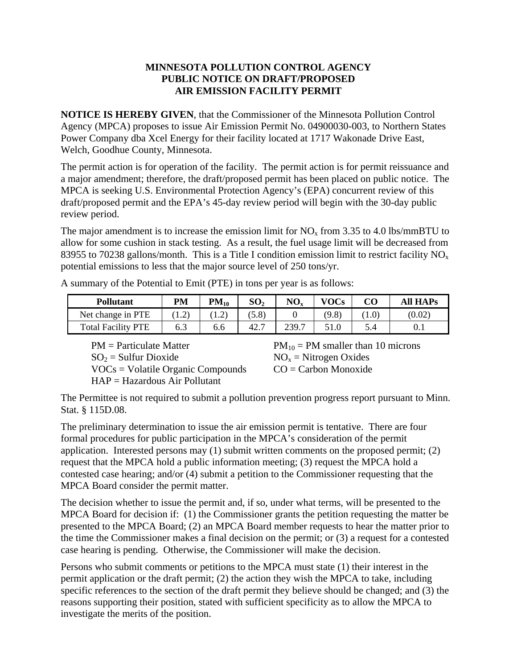## **MINNESOTA POLLUTION CONTROL AGENCY PUBLIC NOTICE ON DRAFT/PROPOSED AIR EMISSION FACILITY PERMIT**

**NOTICE IS HEREBY GIVEN**, that the Commissioner of the Minnesota Pollution Control Agency (MPCA) proposes to issue Air Emission Permit No. 04900030-003, to Northern States Power Company dba Xcel Energy for their facility located at 1717 Wakonade Drive East, Welch, Goodhue County, Minnesota.

The permit action is for operation of the facility. The permit action is for permit reissuance and a major amendment; therefore, the draft/proposed permit has been placed on public notice. The MPCA is seeking U.S. Environmental Protection Agency's (EPA) concurrent review of this draft/proposed permit and the EPA's 45-day review period will begin with the 30-day public review period.

The major amendment is to increase the emission limit for  $NO<sub>x</sub>$  from 3.35 to 4.0 lbs/mmBTU to allow for some cushion in stack testing. As a result, the fuel usage limit will be decreased from 83955 to 70238 gallons/month. This is a Title I condition emission limit to restrict facility  $NO<sub>x</sub>$ potential emissions to less that the major source level of 250 tons/yr.

| <b>Pollutant</b>          | PМ     | $PM_{10}$     | SO <sub>2</sub> | $NO_{x}$ | <b>VOCs</b> | <b>All HAPs</b> |
|---------------------------|--------|---------------|-----------------|----------|-------------|-----------------|
| Net change in PTE         | . 1.2. | $1.2^{\circ}$ | (5.8)           |          | (9.8)       | (0.02)          |
| <b>Total Facility PTE</b> | 6.3    | 6.6           | 42.             | 239.7    |             | $\mathbf{U}$ .  |

A summary of the Potential to Emit (PTE) in tons per year is as follows:

 $PM =$  Particulate Matter  $PM_{10} = PM$  smaller than 10 microns  $SO_2$  = Sulfur Dioxide  $NO_x$  = Nitrogen Oxides  $VOCs = Volatile Organic Compounds$   $CO = Carbon Monoxide$ HAP = Hazardous Air Pollutant

The Permittee is not required to submit a pollution prevention progress report pursuant to Minn. Stat. § 115D.08.

The preliminary determination to issue the air emission permit is tentative. There are four formal procedures for public participation in the MPCA's consideration of the permit application. Interested persons may (1) submit written comments on the proposed permit; (2) request that the MPCA hold a public information meeting; (3) request the MPCA hold a contested case hearing; and/or (4) submit a petition to the Commissioner requesting that the MPCA Board consider the permit matter.

The decision whether to issue the permit and, if so, under what terms, will be presented to the MPCA Board for decision if: (1) the Commissioner grants the petition requesting the matter be presented to the MPCA Board; (2) an MPCA Board member requests to hear the matter prior to the time the Commissioner makes a final decision on the permit; or (3) a request for a contested case hearing is pending. Otherwise, the Commissioner will make the decision.

Persons who submit comments or petitions to the MPCA must state (1) their interest in the permit application or the draft permit; (2) the action they wish the MPCA to take, including specific references to the section of the draft permit they believe should be changed; and (3) the reasons supporting their position, stated with sufficient specificity as to allow the MPCA to investigate the merits of the position.